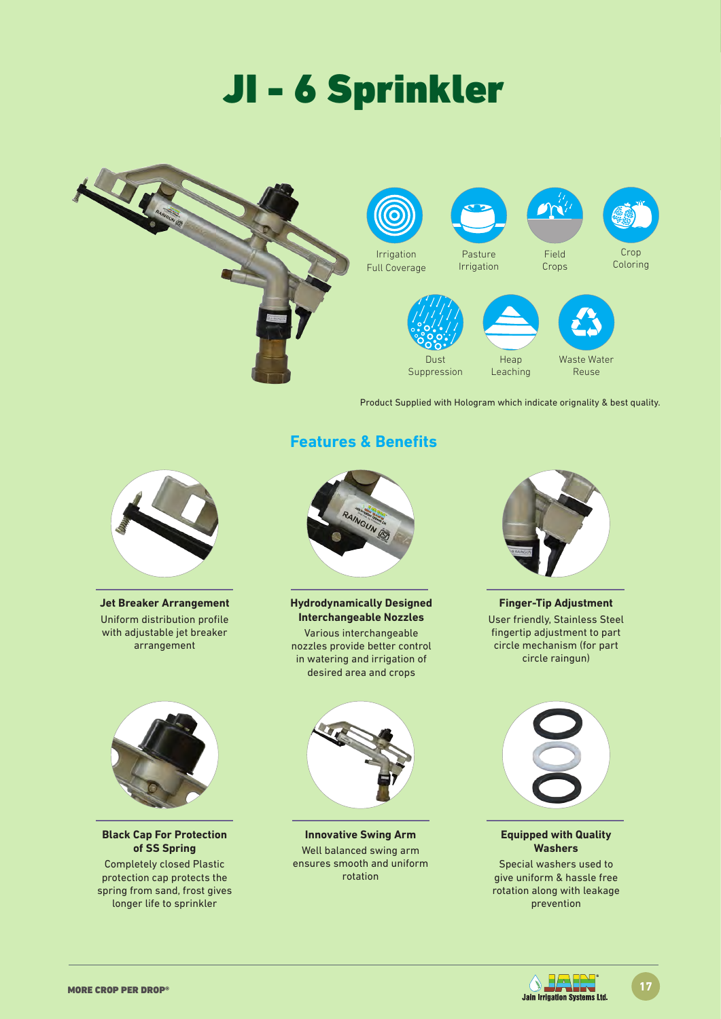# JI - 6 Sprinkler



Product Supplied with Hologram which indicate orignality & best quality.



**Jet Breaker Arrangement** Uniform distribution profile with adjustable jet breaker arrangement



**Black Cap For Protection of SS Spring**

Completely closed Plastic protection cap protects the spring from sand, frost gives longer life to sprinkler



**Hydrodynamically Designed Interchangeable Nozzles**

Various interchangeable nozzles provide better control in watering and irrigation of desired area and crops



**Innovative Swing Arm**  Well balanced swing arm ensures smooth and uniform rotation



**Finger-Tip Adjustment** User friendly, Stainless Steel fingertip adjustment to part circle mechanism (for part circle raingun)



**Equipped with Quality Washers**

Special washers used to give uniform & hassle free rotation along with leakage prevention





## **Features & Benefits**